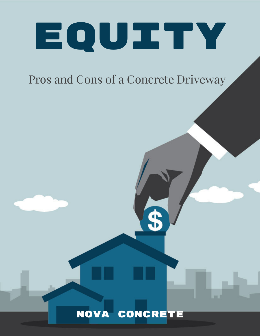

# Pros and Cons of a Concrete Driveway

## NOVA CONCRETE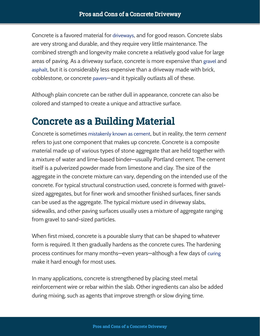Concrete is a favored material for [driveways](https://novaconcrete.us/our-services/concrete-driveway/), and for good reason. Concrete slabs are very strong and durable, and they require very little maintenance. The combined strength and longevity make concrete a relatively good value for large areas of paving. As a driveway surface, concrete is more expensive than [gravel](https://novaconcrete.us/) and [asphalt](https://novaconcrete.us/), but it is considerably less expensive than a driveway made with brick, cobblestone, or concrete [pavers](https://novaconcrete.us/)—and it typically outlasts all of these.

Although plain concrete can be rather dull in appearance, concrete can also be colored and stamped to create a unique and attractive surface.

### Concrete as a Building Material

Concrete is sometimes [mistakenly](https://novaconcrete.us/) known as cement, but in reality, the term *cement* refers to just one component that makes up concrete. Concrete is a composite material made up of various types of stone aggregate that are held together with a mixture of water and lime-based binder—usually Portland cement. The cement itself is a pulverized powder made from limestone and clay. The size of the aggregate in the concrete mixture can vary, depending on the intended use of the concrete. For typical structural construction used, concrete is formed with gravelsized aggregates, but for finer work and smoother finished surfaces, finer sands can be used as the aggregate. The typical mixture used in driveway slabs, sidewalks, and other paving surfaces usually uses a mixture of aggregate ranging from gravel to sand-sized particles.

When first mixed, concrete is a pourable slurry that can be shaped to whatever form is required. It then gradually hardens as the concrete cures. The hardening process continues for many months—even years—although a few days of [curing](https://novaconcrete.us/) make it hard enough for most uses.

In many applications, concrete is strengthened by placing steel metal reinforcement wire or rebar within the slab. Other ingredients can also be added during mixing, such as agents that improve strength or slow drying time.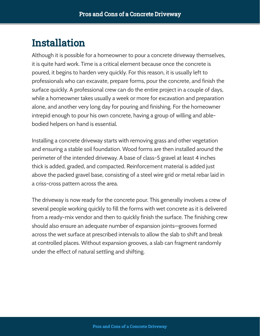#### Installation

Although it is possible for a homeowner to pour a concrete driveway themselves, it is quite hard work. Time is a critical element because once the concrete is poured, it begins to harden very quickly. For this reason, it is usually left to professionals who can excavate, prepare forms, pour the concrete, and finish the surface quickly. A professional crew can do the entire project in a couple of days, while a homeowner takes usually a week or more for excavation and preparation alone, and another very long day for pouring and finishing. For the homeowner intrepid enough to pour his own concrete, having a group of willing and ablebodied helpers on hand is essential.

Installing a concrete driveway starts with removing grass and other vegetation and ensuring a stable soil foundation. Wood forms are then installed around the perimeter of the intended driveway. A base of class-5 gravel at least 4 inches thick is added, graded, and compacted. Reinforcement material is added just above the packed gravel base, consisting of a steel wire grid or metal rebar laid in a criss-cross pattern across the area.

The driveway is now ready for the concrete pour. This generally involves a crew of several people working quickly to fill the forms with wet concrete as it is delivered from a ready-mix vendor and then to quickly finish the surface. The finishing crew should also ensure an adequate number of expansion joints—grooves formed across the wet surface at prescribed intervals to allow the slab to shift and break at controlled places. Without expansion grooves, a slab can fragment randomly under the effect of natural settling and shifting.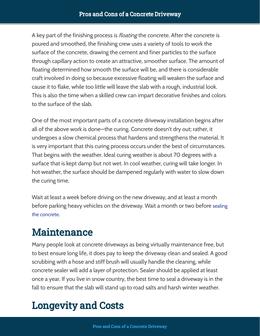A key part of the finishing process is *floating* the concrete. After the concrete is poured and smoothed, the finishing crew uses a variety of tools to work the surface of the concrete, drawing the cement and finer particles to the surface through capillary action to create an attractive, smoother surface. The amount of floating determined how smooth the surface will be, and there is considerable craft involved in doing so because excessive floating will weaken the surface and cause it to flake, while too little will leave the slab with a rough, industrial look. This is also the time when a skilled crew can impart decorative finishes and colors to the surface of the slab.

One of the most important parts of a concrete driveway installation begins after all of the above work is done—the curing. Concrete doesn't dry out; rather, it undergoes a slow chemical process that hardens and strengthens the material. It is very important that this curing process occurs under the best of circumstances. That begins with the weather. Ideal curing weather is about 70 degrees with a surface that is kept damp but not wet. In cool weather, curing will take longer. In hot weather, the surface should be dampened regularly with water to slow down the curing time.

Wait at least a week before driving on the new driveway, and at least a month before parking heavy vehicles on the [driveway.](https://novaconcrete.us/our-services/concrete-driveway/) Wait a month or two before sealing . the concrete

### Maintenance

Many people look at concrete driveways as being virtually maintenance free, but to best ensure long life, it does pay to keep the driveway clean and sealed. A good scrubbing with a hose and stiff brush will usually handle the cleaning, while concrete sealer will add a layer of protection. Sealer should be applied at least once a year. If you live in snow country, the best time to seal a driveway is in the fall to ensure that the slab will stand up to road salts and harsh winter weather.

## Longevity and Costs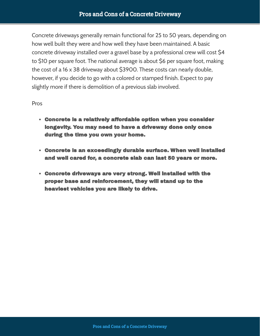Concrete driveways generally remain functional for 25 to 50 years, depending on how well built they were and how well they have been maintained. A basic concrete driveway installed over a gravel base by a professional crew will cost \$4 to \$10 per square foot. The national average is about \$6 per square foot, making the cost of a 16 x 38 driveway about \$3900. These costs can nearly double, however, if you decide to go with a colored or stamped finish. Expect to pay slightly more if there is demolition of a previous slab involved.

#### Pros

- Concrete is a relatively affordable option when you consider longevity. You may need to have a driveway done only once during the time you own your home.
- Concrete is an exceedingly durable surface. When well installed and well cared for, a concrete slab can last 50 years or more.
- Concrete driveways are very strong. Well installed with the proper base and reinforcement, they will stand up to the heaviest vehicles you are likely to drive.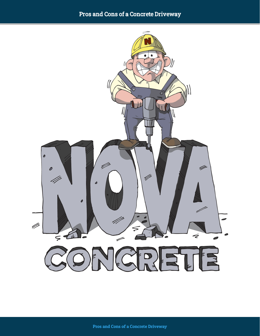#### Pros and Cons of a Concrete Driveway

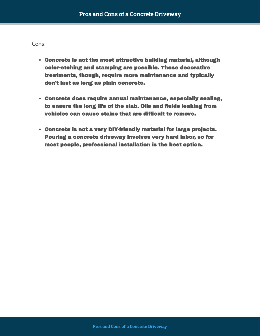#### Cons

- Concrete is not the most attractive building material, although color-etching and stamping are possible. These decorative treatments, though, require more maintenance and typically don't last as long as plain concrete.
- Concrete does require annual maintenance, especially sealing, to ensure the long life of the slab. Oils and fluids leaking from vehicles can cause stains that are difficult to remove.
- Concrete is not a very DIY-friendly material for large projects. Pouring a concrete driveway involves very hard labor, so for most people, professional installation is the best option.